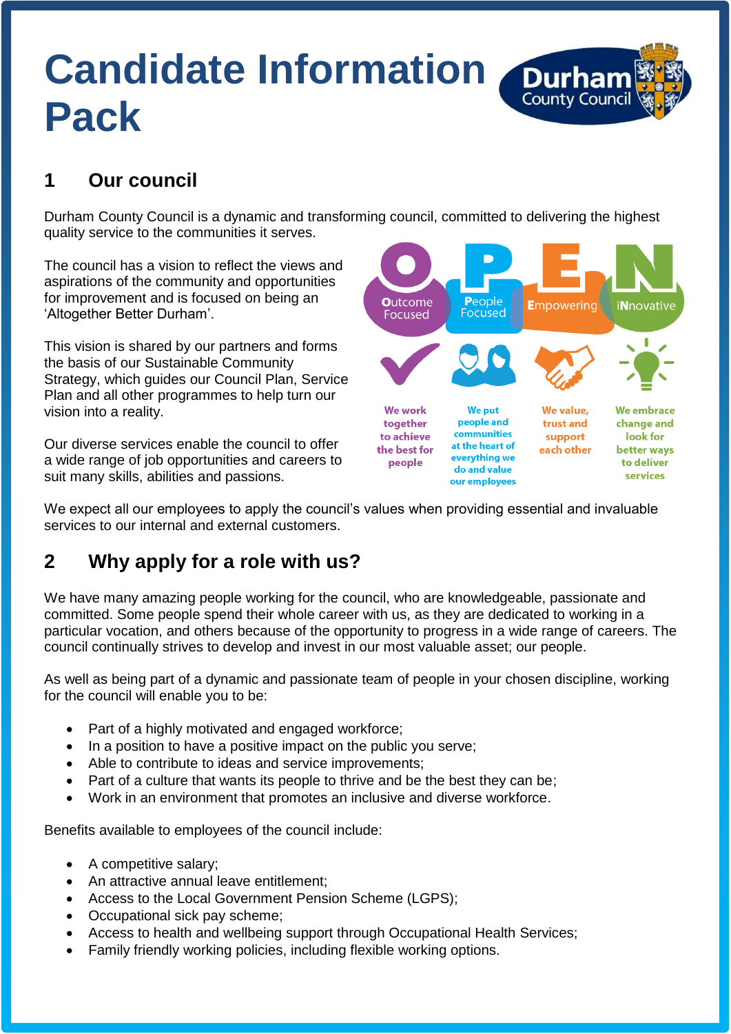# **Candidate Information Durhal Pack**



### **1 Our council**

Durham County Council is a dynamic and transforming council, committed to delivering the highest quality service to the communities it serves.

The council has a vision to reflect the views and aspirations of the community and opportunities for improvement and is focused on being an 'Altogether Better Durham'.

This vision is shared by our partners and forms the basis of our Sustainable Community Strategy, which guides our Council Plan, Service Plan and all other programmes to help turn our vision into a reality.

Our diverse services enable the council to offer a wide range of job opportunities and careers to suit many skills, abilities and passions.



We expect all our employees to apply the council's values when providing essential and invaluable services to our internal and external customers.

### **2 Why apply for a role with us?**

We have many amazing people working for the council, who are knowledgeable, passionate and committed. Some people spend their whole career with us, as they are dedicated to working in a particular vocation, and others because of the opportunity to progress in a wide range of careers. The council continually strives to develop and invest in our most valuable asset; our people.

As well as being part of a dynamic and passionate team of people in your chosen discipline, working for the council will enable you to be:

- Part of a highly motivated and engaged workforce;
- In a position to have a positive impact on the public you serve;
- Able to contribute to ideas and service improvements;
- Part of a culture that wants its people to thrive and be the best they can be:
- Work in an environment that promotes an inclusive and diverse workforce.

Benefits available to employees of the council include:

- A competitive salary;
- An attractive annual leave entitlement;
- Access to the Local Government Pension Scheme (LGPS);
- Occupational sick pay scheme;
- Access to health and wellbeing support through Occupational Health Services;
- Family friendly working policies, including flexible working options.